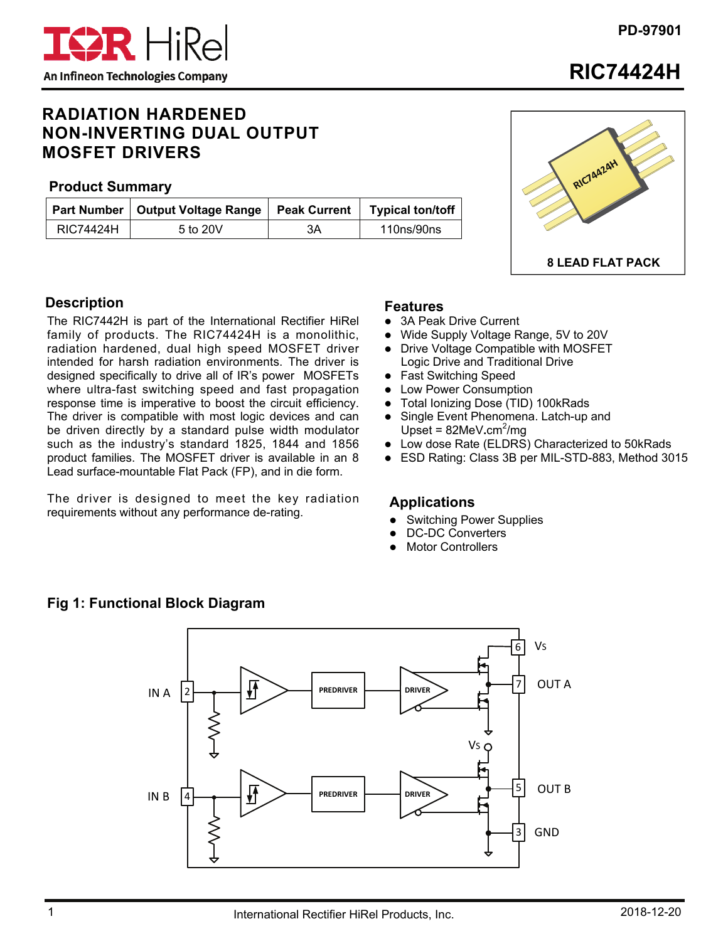

**RIC74424H** 

# **RADIATION HARDENED NON-INVERTING DUAL OUTPUT MOSFET DRIVERS**

#### **Product Summary**

|           | Part Number   Output Voltage Range | <b>Peak Current</b> | <b>Typical ton/toff</b> |
|-----------|------------------------------------|---------------------|-------------------------|
| RIC74424H | 5 to 20V                           | 3A                  | 110ns/90ns              |



## **Description**

The RIC7442H is part of the International Rectifier HiRel family of products. The RIC74424H is a monolithic, radiation hardened, dual high speed MOSFET driver intended for harsh radiation environments. The driver is designed specifically to drive all of IR's power MOSFETs where ultra-fast switching speed and fast propagation response time is imperative to boost the circuit efficiency. The driver is compatible with most logic devices and can be driven directly by a standard pulse width modulator such as the industry's standard 1825, 1844 and 1856 product families. The MOSFET driver is available in an 8 Lead surface-mountable Flat Pack (FP), and in die form.

The driver is designed to meet the key radiation requirements without any performance de-rating.

#### **Features**

- 3A Peak Drive Current
- Wide Supply Voltage Range, 5V to 20V
- Drive Voltage Compatible with MOSFET Logic Drive and Traditional Drive
- Fast Switching Speed
- Low Power Consumption
- Total Ionizing Dose (TID) 100kRads
- Single Event Phenomena. Latch-up and Upset = 82MeV.cm<sup>2</sup>/mg
- Low dose Rate (ELDRS) Characterized to 50kRads
- ESD Rating: Class 3B per MIL-STD-883, Method 3015

#### **Applications**

- Switching Power Supplies
- DC-DC Converters
- Motor Controllers

### **Fig 1: Functional Block Diagram**

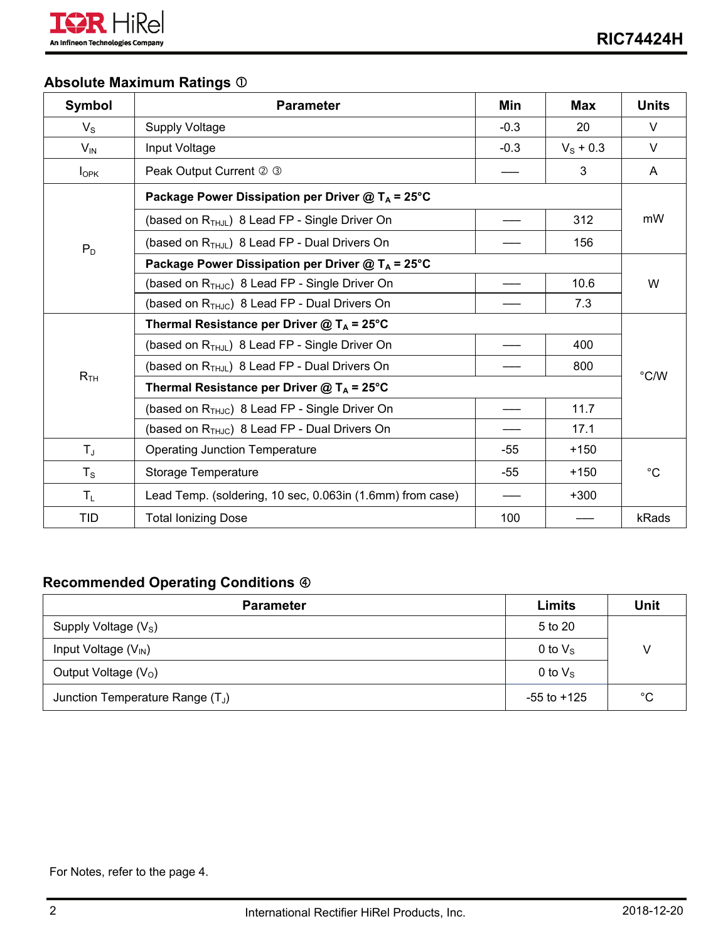

# **Absolute Maximum Ratings**

| <b>Symbol</b>    | <b>Parameter</b>                                             | Min    | <b>Max</b>        | <b>Units</b> |  |
|------------------|--------------------------------------------------------------|--------|-------------------|--------------|--|
| $V_{\rm S}$      | <b>Supply Voltage</b>                                        | $-0.3$ | 20                | $\vee$       |  |
| $V_{\text{IN}}$  | Input Voltage                                                | $-0.3$ | $V_{\rm S}$ + 0.3 | V            |  |
| $I_{\text{OPK}}$ | Peak Output Current 2 3                                      |        | 3                 | A            |  |
|                  | Package Power Dissipation per Driver $@T_A = 25°C$           |        |                   | mW           |  |
|                  | (based on R <sub>THJL</sub> ) 8 Lead FP - Single Driver On   |        | 312               |              |  |
| $P_D$            | (based on R <sub>THJL</sub> ) 8 Lead FP - Dual Drivers On    |        | 156               |              |  |
|                  | Package Power Dissipation per Driver @ T <sub>A</sub> = 25°C |        |                   |              |  |
|                  | (based on $R_{THJC}$ ) 8 Lead FP - Single Driver On          |        | 10.6              | W            |  |
|                  | (based on $R_{THJC}$ ) 8 Lead FP - Dual Drivers On           |        | 7.3               |              |  |
|                  | Thermal Resistance per Driver @ $T_A$ = 25°C                 |        |                   |              |  |
|                  | (based on $R_{THJL}$ ) 8 Lead FP - Single Driver On          |        | 400               | °C/W         |  |
|                  | (based on $R_{THJL}$ ) 8 Lead FP - Dual Drivers On           |        | 800               |              |  |
| R <sub>TH</sub>  | Thermal Resistance per Driver @ $T_A$ = 25°C                 |        |                   |              |  |
|                  | (based on $R_{THJC}$ ) 8 Lead FP - Single Driver On          |        | 11.7              |              |  |
|                  | (based on $R_{THJC}$ ) 8 Lead FP - Dual Drivers On           |        | 17.1              |              |  |
| $T_{\mathsf{J}}$ | <b>Operating Junction Temperature</b>                        | -55    | $+150$            | $^{\circ}C$  |  |
| $T_S$            | Storage Temperature                                          | $-55$  | $+150$            |              |  |
| $T_L$            | Lead Temp. (soldering, 10 sec, 0.063in (1.6mm) from case)    |        | $+300$            |              |  |
| <b>TID</b>       | <b>Total Ionizing Dose</b>                                   | 100    |                   | kRads        |  |

## **Recommended Operating Conditions**

| <b>Parameter</b>                                    | Limits           | Unit        |  |
|-----------------------------------------------------|------------------|-------------|--|
| Supply Voltage $(Vs)$                               | 5 to 20          |             |  |
| Input Voltage $(V_{\text{IN}})$<br>0 to $V_{\rm s}$ |                  |             |  |
| Output Voltage $(VO)$                               | 0 to $V_{\rm S}$ |             |  |
| Junction Temperature Range (T <sub>J</sub> )        | $-55$ to $+125$  | $^{\circ}C$ |  |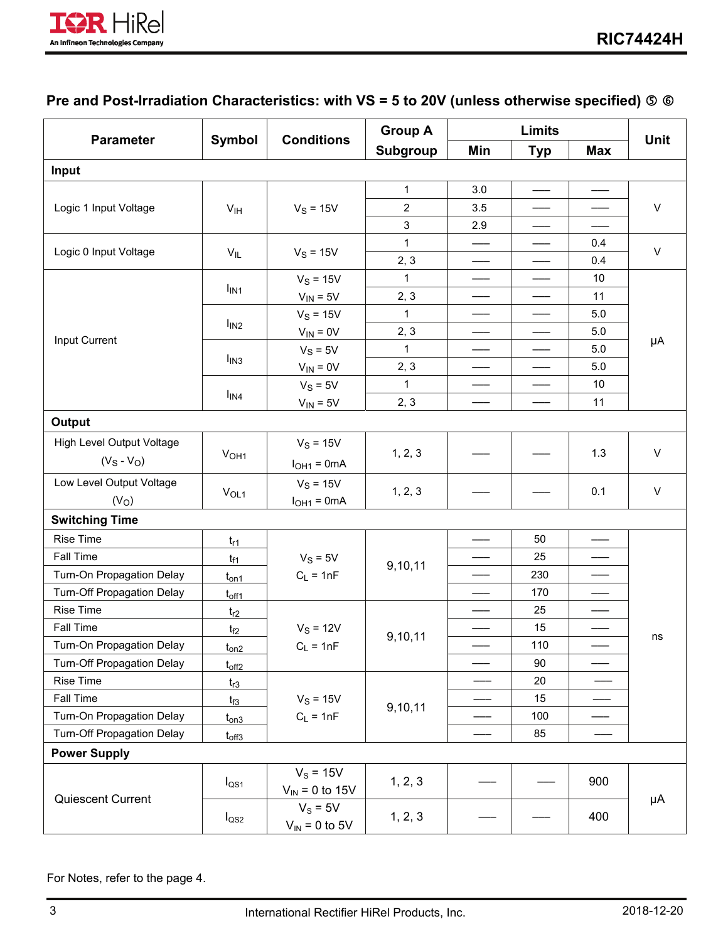

# **Pre and Post-Irradiation Characteristics: with VS = 5 to 20V (unless otherwise specified)**

|                            |                  |                                    | <b>Group A</b> |                                               | <b>Limits</b>                                 |                                           |         |
|----------------------------|------------------|------------------------------------|----------------|-----------------------------------------------|-----------------------------------------------|-------------------------------------------|---------|
| <b>Parameter</b>           | Symbol           | <b>Conditions</b>                  | Subgroup       | Min                                           | <b>Typ</b>                                    | <b>Max</b>                                | Unit    |
| Input                      |                  |                                    |                |                                               |                                               |                                           |         |
|                            |                  |                                    | 1              | 3.0                                           |                                               |                                           |         |
| Logic 1 Input Voltage      | V <sub>IH</sub>  | $V_S = 15V$                        | $\overline{c}$ | 3.5                                           | ——                                            |                                           | $\sf V$ |
|                            |                  |                                    | 3              | 2.9                                           |                                               |                                           |         |
|                            |                  |                                    | $\mathbf{1}$   |                                               |                                               | 0.4                                       | $\sf V$ |
| Logic 0 Input Voltage      | $V_{IL}$         | $V_S = 15V$                        | 2, 3           |                                               |                                               | 0.4                                       |         |
|                            |                  | $V_S = 15V$                        | 1              | $\qquad \qquad \overbrace{\qquad \qquad }^{}$ | $\qquad \qquad \overbrace{\qquad \qquad }^{}$ | 10                                        |         |
|                            | I <sub>IN1</sub> | $V_{IN} = 5V$                      | 2, 3           |                                               |                                               | 11                                        |         |
|                            |                  | $V_S = 15V$                        | 1              |                                               |                                               | 5.0                                       |         |
| Input Current              | I <sub>IN2</sub> | $V_{IN} = 0V$                      | 2, 3           |                                               |                                               | 5.0                                       |         |
|                            |                  | $V_S = 5V$                         | $\mathbf{1}$   |                                               | $\qquad \qquad$                               | 5.0                                       | μA      |
|                            | I <sub>IN3</sub> | $V_{IN} = 0V$                      | 2, 3           |                                               |                                               | 5.0                                       |         |
|                            |                  | $V_S = 5V$                         | 1              |                                               |                                               | 10                                        |         |
|                            | $I_{IN4}$        | $V_{IN} = 5V$                      | 2, 3           |                                               |                                               | 11                                        |         |
| Output                     |                  |                                    |                |                                               |                                               |                                           |         |
| High Level Output Voltage  |                  | $V_S = 15V$                        |                |                                               |                                               |                                           |         |
| $(V_S - V_O)$              | V <sub>OH1</sub> | $IOH1 = 0mA$                       | 1, 2, 3        |                                               |                                               | 1.3                                       | $\vee$  |
| Low Level Output Voltage   |                  | $V_S = 15V$                        |                |                                               |                                               |                                           | $\vee$  |
| (V <sub>O</sub> )          | V <sub>OL1</sub> | $IOH1 = 0mA$                       | 1, 2, 3        |                                               |                                               | 0.1                                       |         |
| <b>Switching Time</b>      |                  |                                    |                |                                               |                                               |                                           |         |
| <b>Rise Time</b>           | $t_{r1}$         |                                    |                |                                               | 50                                            |                                           |         |
| Fall Time                  | $t_{f1}$         | $V_S = 5V$                         | 9,10,11        |                                               | 25                                            |                                           |         |
| Turn-On Propagation Delay  | $t_{on1}$        | $C_L = 1nF$                        |                |                                               | 230                                           |                                           |         |
| Turn-Off Propagation Delay | $t_{off1}$       |                                    |                |                                               | 170                                           | $\qquad \qquad \overline{\qquad \qquad }$ |         |
| <b>Rise Time</b>           | $t_{r2}$         |                                    |                |                                               | 25                                            |                                           |         |
| Fall Time                  | $t_{f2}$         | $V_S = 12V$                        | 9,10,11        |                                               | 15                                            |                                           |         |
| Turn-On Propagation Delay  | $t_{on2}$        | $C_L = 1nF$                        |                |                                               | 110                                           |                                           | ns      |
| Turn-Off Propagation Delay | $t_{off2}$       |                                    |                |                                               | 90                                            |                                           |         |
| Rise Time                  | $t_{r3}$         |                                    |                |                                               | 20                                            |                                           |         |
| Fall Time                  | $t_{f3}$         | $V_S = 15V$                        | 9,10,11        |                                               | 15                                            |                                           |         |
| Turn-On Propagation Delay  | $t_{on3}$        | $C_L = 1nF$                        |                |                                               | 100                                           |                                           |         |
| Turn-Off Propagation Delay | $t_{off3}$       |                                    |                |                                               | 85                                            |                                           |         |
| <b>Power Supply</b>        |                  |                                    |                |                                               |                                               |                                           |         |
| Quiescent Current          | $I_{\text{QS1}}$ | $V_s = 15V$<br>$V_{IN}$ = 0 to 15V | 1, 2, 3        |                                               |                                               | 900                                       |         |
|                            | $I_{\text{QS2}}$ | $V_s = 5V$<br>$V_{IN}$ = 0 to 5V   | 1, 2, 3        |                                               |                                               | 400                                       | μA      |

For Notes, refer to the page 4.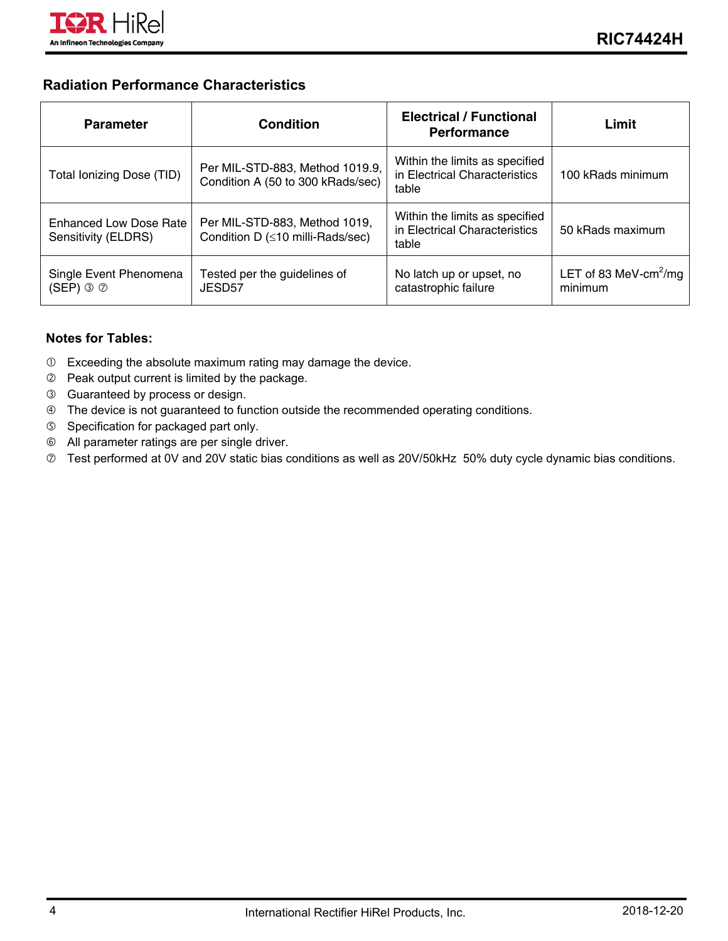

#### **Radiation Performance Characteristics**

| <b>Parameter</b>                                            | Condition                                                               | <b>Electrical / Functional</b><br><b>Performance</b>                     | Limit                                        |
|-------------------------------------------------------------|-------------------------------------------------------------------------|--------------------------------------------------------------------------|----------------------------------------------|
| Total Ionizing Dose (TID)                                   | Per MIL-STD-883, Method 1019.9,<br>Condition A (50 to 300 kRads/sec)    | Within the limits as specified<br>in Electrical Characteristics<br>table | 100 kRads minimum                            |
| <b>Enhanced Low Dose Rate</b><br>Sensitivity (ELDRS)        | Per MIL-STD-883, Method 1019,<br>Condition D $(\leq 10$ milli-Rads/sec) | Within the limits as specified<br>in Electrical Characteristics<br>table | 50 kRads maximum                             |
| Single Event Phenomena<br>$(SEP) \circledcirc \circledcirc$ | Tested per the guidelines of<br>JESD <sub>57</sub>                      | No latch up or upset, no<br>catastrophic failure                         | LET of 83 MeV-cm <sup>2</sup> /mg<br>minimum |

#### **Notes for Tables:**

- Exceeding the absolute maximum rating may damage the device.
- Peak output current is limited by the package.
- Guaranteed by process or design.
- The device is not guaranteed to function outside the recommended operating conditions.
- Specification for packaged part only.
- All parameter ratings are per single driver.
- Test performed at 0V and 20V static bias conditions as well as 20V/50kHz 50% duty cycle dynamic bias conditions.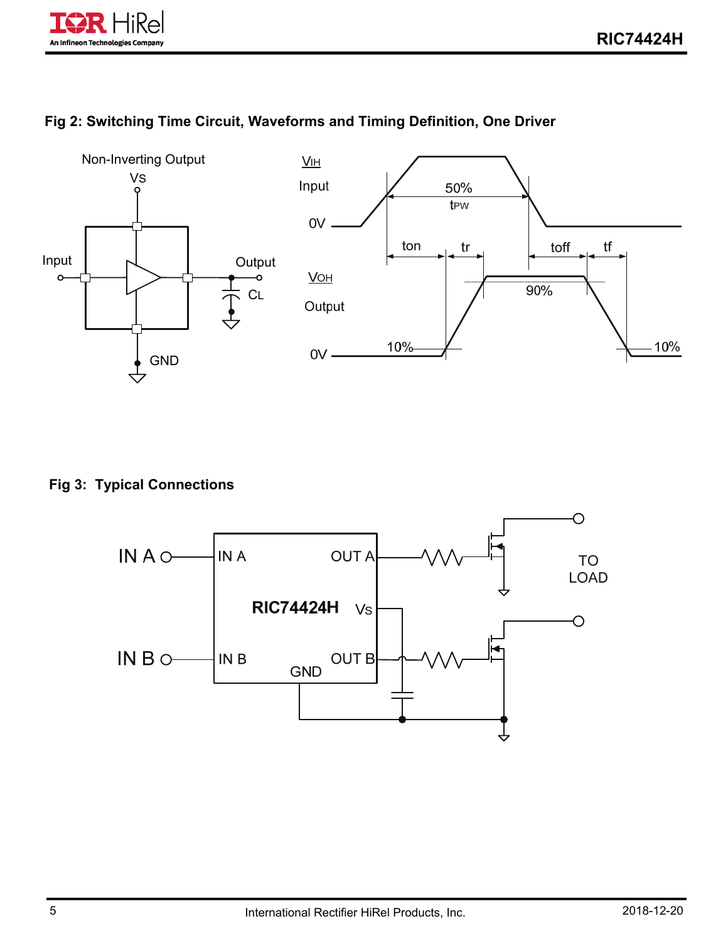

## **Fig 2: Switching Time Circuit, Waveforms and Timing Definition, One Driver**



### **Fig 3: Typical Connections**

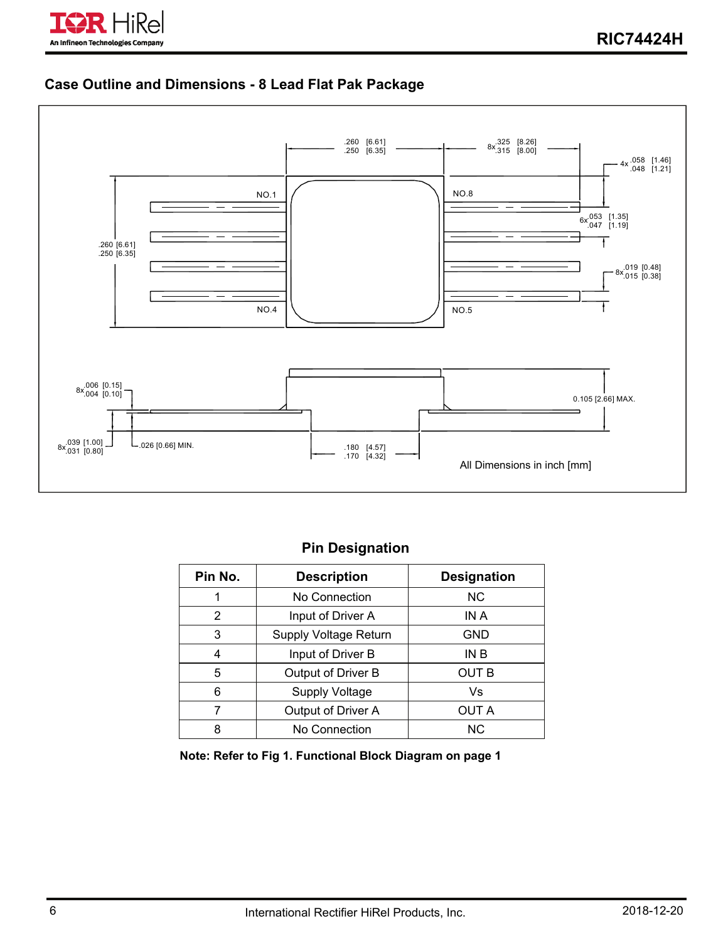

### **Case Outline and Dimensions - 8 Lead Flat Pak Package**



## **Pin Designation**

| Pin No. | <b>Description</b>    | <b>Designation</b> |  |
|---------|-----------------------|--------------------|--|
| 1       | No Connection         | NC.                |  |
| 2       | Input of Driver A     | IN A               |  |
| 3       | Supply Voltage Return | GND                |  |
| 4       | Input of Driver B     | IN B               |  |
| 5       | Output of Driver B    | OUT B              |  |
| 6       | <b>Supply Voltage</b> | Vs                 |  |
|         | Output of Driver A    | OUT A              |  |
| 8       | No Connection         | NC.                |  |

**Note: Refer to Fig 1. Functional Block Diagram on page 1**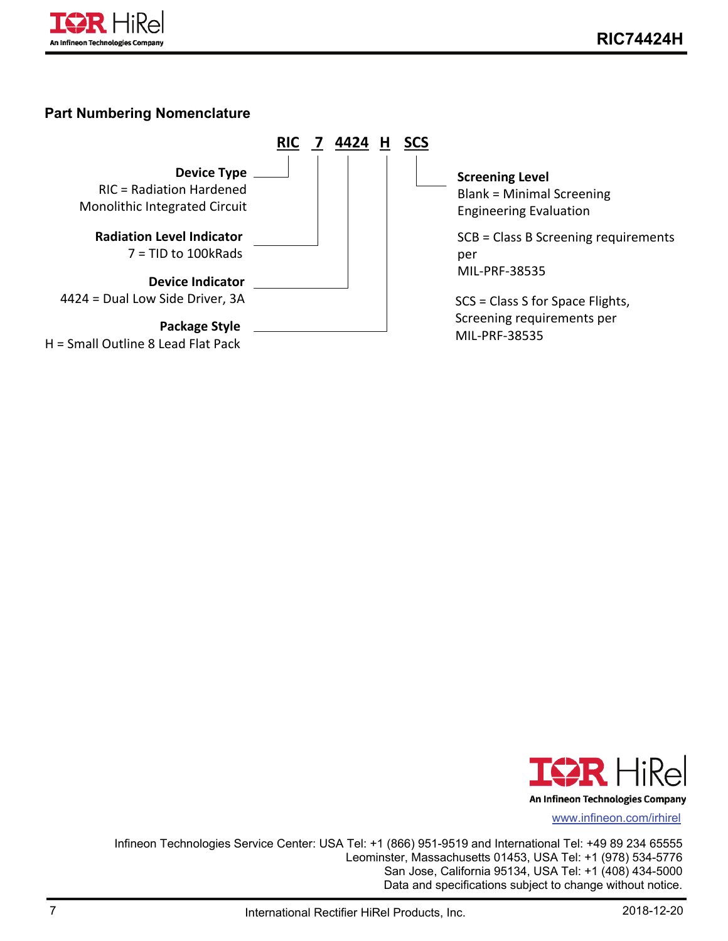

#### **Part Numbering Nomenclature**





Infineon Technologies Service Center: USA Tel: +1 (866) 951-9519 and International Tel: +49 89 234 65555 Leominster, Massachusetts 01453, USA Tel: +1 (978) 534-5776 San Jose, California 95134, USA Tel: +1 (408) 434-5000 Data and specifications subject to change without notice.